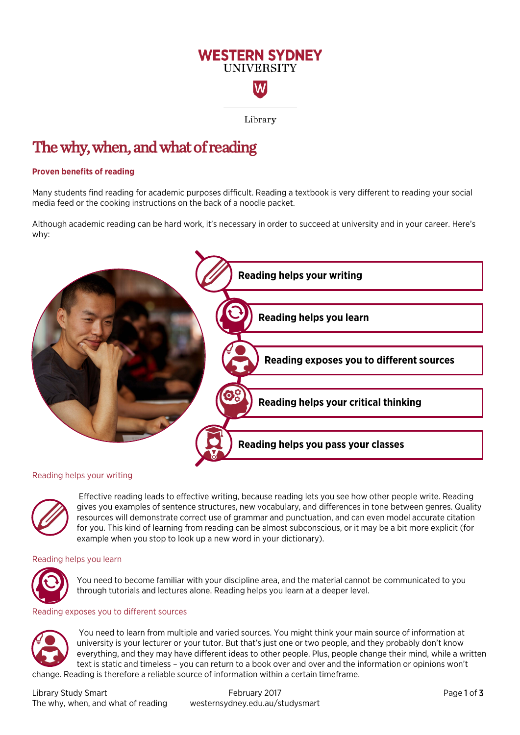# **WESTERN SYDNEY UNIVERSITY** W

Library

# The why, when, and what of reading

## **Proven benefits of reading**

Many students find reading for academic purposes difficult. Reading a textbook is very different to reading your social media feed or the cooking instructions on the back of a noodle packet.

Although academic reading can be hard work, it's necessary in order to succeed at university and in your career. Here's why:



## Reading helps your writing



 Effective reading leads to effective writing, because reading lets you see how other people write. Reading gives you examples of sentence structures, new vocabulary, and differences in tone between genres. Quality resources will demonstrate correct use of grammar and punctuation, and can even model accurate citation for you. This kind of learning from reading can be almost subconscious, or it may be a bit more explicit (for example when you stop to look up a new word in your dictionary).

## Reading helps you learn



You need to become familiar with your discipline area, and the material cannot be communicated to you through tutorials and lectures alone. Reading helps you learn at a deeper level.

#### Reading exposes you to different sources



You need to learn from multiple and varied sources. You might think your main source of information at university is your lecturer or your tutor. But that's just one or two people, and they probably don't know everything, and they may have different ideas to other people. Plus, people change their mind, while a written text is static and timeless – you can return to a book over and over and the information or opinions won't change. Reading is therefore a reliable source of information within a certain timeframe.

Library Study Smart **February 2017** Page 1 of 3 The why, when, and what of reading westernsydney.edu.au/studysmart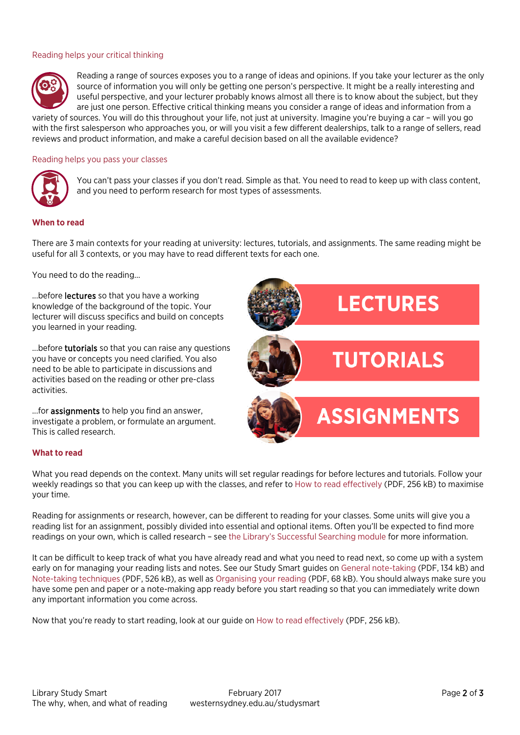### Reading helps your critical thinking



Reading a range of sources exposes you to a range of ideas and opinions. If you take your lecturer as the only source of information you will only be getting one person's perspective. It might be a really interesting and useful perspective, and your lecturer probably knows almost all there is to know about the subject, but they are just one person. Effective critical thinking means you consider a range of ideas and information from a

variety of sources. You will do this throughout your life, not just at university. Imagine you're buying a car – will you go with the first salesperson who approaches you, or will you visit a few different dealerships, talk to a range of sellers, read reviews and product information, and make a careful decision based on all the available evidence?

#### Reading helps you pass your classes



You can't pass your classes if you don't read. Simple as that. You need to read to keep up with class content, and you need to perform research for most types of assessments.

#### **When to read**

There are 3 main contexts for your reading at university: lectures, tutorials, and assignments. The same reading might be useful for all 3 contexts, or you may have to read different texts for each one.

You need to do the reading...

...before **lectures** so that you have a working knowledge of the background of the topic. Your lecturer will discuss specifics and build on concepts you learned in your reading.

...before **tutorials** so that you can raise any questions you have or concepts you need clarified. You also need to be able to participate in discussions and activities based on the reading or other pre-class activities.

...for assignments to help you find an answer, investigate a problem, or formulate an argument. This is called research.



#### **What to read**

What you read depends on the context. Many units will set regular readings for before lectures and tutorials. Follow your weekly readings so that you can keep up with the classes, and refer to [How to read effectively](http://westernsydney.edu.au/__data/assets/pdf_file/0005/1177484/how_to_read_effectively.pdf) (PDF, 256 kB) to maximise your time.

Reading for assignments or research, however, can be different to reading for your classes. Some units will give you a reading list for an assignment, possibly divided into essential and optional items. Often you'll be expected to find more readings on your own, which is called research – see [the Library's Successful Searching module](http://library.westernsydney.edu.au/main/guides/online-tutorials/successful-searching) for more information.

It can be difficult to keep track of what you have already read and what you need to read next, so come up with a system early on for managing your reading lists and notes. See our Study Smart guides o[n General note-taking](https://westernsydney.edu.au/__data/assets/pdf_file/0004/1082515/General_note-taking_advice.pdf) (PDF, 134 kB) and [Note-taking techniques](https://westernsydney.edu.au/__data/assets/pdf_file/0008/1082663/Note-taking_techniques.pdf) (PDF, 526 kB), as well as [Organising your reading](http://westernsydney.edu.au/__data/assets/pdf_file/0006/1177485/organising_your_reading.pdf) (PDF, 68 kB). You should always make sure you have some pen and paper or a note-making app ready before you start reading so that you can immediately write down any important information you come across.

Now that you're ready to start reading, look at our guide on [How to read effectively](http://westernsydney.edu.au/__data/assets/pdf_file/0005/1177484/how_to_read_effectively.pdf) (PDF, 256 kB).